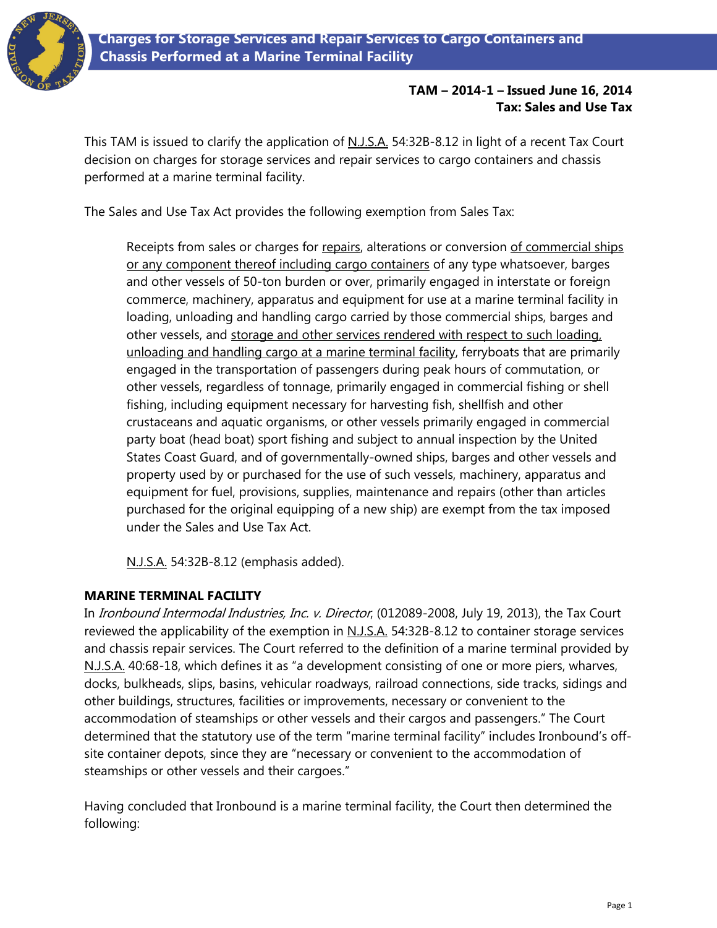

## **TAM – 2014-1 – Issued June 16, 2014 Tax: Sales and Use Tax**

This TAM is issued to clarify the application of N.J.S.A. 54:32B-8.12 in light of a recent Tax Court decision on charges for storage services and repair services to cargo containers and chassis performed at a marine terminal facility.

The Sales and Use Tax Act provides the following exemption from Sales Tax:

Receipts from sales or charges for repairs, alterations or conversion of commercial ships or any component thereof including cargo containers of any type whatsoever, barges and other vessels of 50-ton burden or over, primarily engaged in interstate or foreign commerce, machinery, apparatus and equipment for use at a marine terminal facility in loading, unloading and handling cargo carried by those commercial ships, barges and other vessels, and storage and other services rendered with respect to such loading, unloading and handling cargo at a marine terminal facility, ferryboats that are primarily engaged in the transportation of passengers during peak hours of commutation, or other vessels, regardless of tonnage, primarily engaged in commercial fishing or shell fishing, including equipment necessary for harvesting fish, shellfish and other crustaceans and aquatic organisms, or other vessels primarily engaged in commercial party boat (head boat) sport fishing and subject to annual inspection by the United States Coast Guard, and of governmentally-owned ships, barges and other vessels and property used by or purchased for the use of such vessels, machinery, apparatus and equipment for fuel, provisions, supplies, maintenance and repairs (other than articles purchased for the original equipping of a new ship) are exempt from the tax imposed under the Sales and Use Tax Act.

N.J.S.A. 54:32B-8.12 (emphasis added).

# **MARINE TERMINAL FACILITY**

In *Ironbound Intermodal Industries, Inc. v. Director*, (012089-2008, July 19, 2013), the Tax Court reviewed the applicability of the exemption in N.J.S.A. 54:32B-8.12 to container storage services and chassis repair services. The Court referred to the definition of a marine terminal provided by N.J.S.A. 40:68-18, which defines it as "a development consisting of one or more piers, wharves, docks, bulkheads, slips, basins, vehicular roadways, railroad connections, side tracks, sidings and other buildings, structures, facilities or improvements, necessary or convenient to the accommodation of steamships or other vessels and their cargos and passengers." The Court determined that the statutory use of the term "marine terminal facility" includes Ironbound's offsite container depots, since they are "necessary or convenient to the accommodation of steamships or other vessels and their cargoes."

Having concluded that Ironbound is a marine terminal facility, the Court then determined the following: